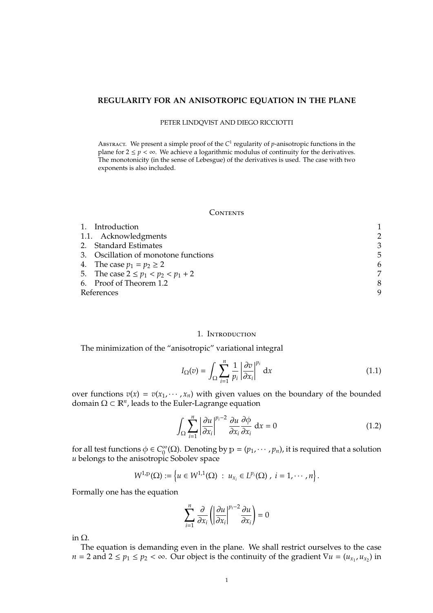# **REGULARITY FOR AN ANISOTROPIC EQUATION IN THE PLANE**

#### PETER LINDQVIST AND DIEGO RICCIOTTI

ABSTRACT. We present a simple proof of the C<sup>1</sup> regularity of *p*-anisotropic functions in the plane for  $2 \le p < \infty$ . We achieve a logarithmic modulus of continuity for the derivatives. The monotonicity (in the sense of Lebesgue) of the derivatives is used. The case with two exponents is also included.

### **CONTENTS**

| 1. Introduction                         |   |
|-----------------------------------------|---|
| 1.1. Acknowledgments                    | 2 |
| 2. Standard Estimates                   | 3 |
| 3. Oscillation of monotone functions    | 5 |
| 4. The case $p_1 = p_2 \ge 2$           | 6 |
| 5. The case $2 \le p_1 < p_2 < p_1 + 2$ |   |
| 6. Proof of Theorem 1.2                 | 8 |
| References                              | 9 |
|                                         |   |

## 1. Introduction

The minimization of the "anisotropic" variational integral

$$
I_{\Omega}(v) = \int_{\Omega} \sum_{i=1}^{n} \frac{1}{p_i} \left| \frac{\partial v}{\partial x_i} \right|^{p_i} dx
$$
 (1.1)

over functions  $v(x) = v(x_1, \dots, x_n)$  with given values on the boundary of the bounded domain  $\Omega \subset \mathbb{R}^n$ , leads to the Euler-Lagrange equation

$$
\int_{\Omega} \sum_{i=1}^{n} \left| \frac{\partial u}{\partial x_i} \right|^{p_i - 2} \frac{\partial u}{\partial x_i} \frac{\partial \phi}{\partial x_i} dx = 0
$$
\n(1.2)

.

for all test functions  $\phi \in C_0^{\infty}$  $\int_{0}^{\infty}$ ( $\Omega$ ). Denoting by  $p = (p_1, \dots, p_n)$ , it is required that a solution *u* belongs to the anisotropic Sobolev space

$$
W^{1,p}(\Omega) := \left\{ u \in W^{1,1}(\Omega) : u_{x_i} \in L^{p_i}(\Omega) , i = 1, \cdots, n \right\}
$$

Formally one has the equation

$$
\sum_{i=1}^{n} \frac{\partial}{\partial x_i} \left( \left| \frac{\partial u}{\partial x_i} \right|^{p_i - 2} \frac{\partial u}{\partial x_i} \right) = 0
$$

in Ω.

The equation is demanding even in the plane. We shall restrict ourselves to the case *n* = 2 and  $2 \le p_1 \le p_2 < \infty$ . Our object is the continuity of the gradient  $\nabla u = (u_{x_1}, u_{x_2})$  in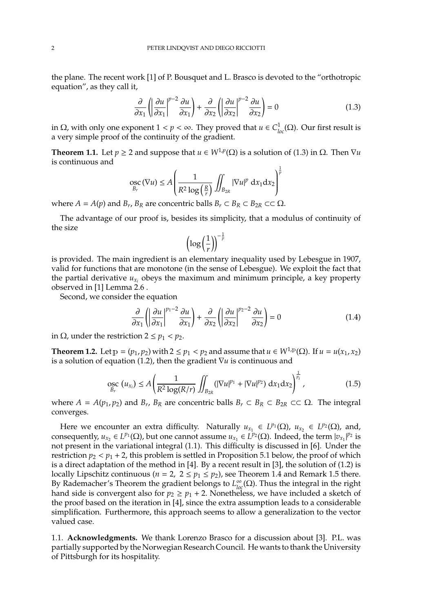the plane. The recent work [1] of P. Bousquet and L. Brasco is devoted to the "orthotropic equation", as they call it,

$$
\frac{\partial}{\partial x_1} \left( \left| \frac{\partial u}{\partial x_1} \right|^{p-2} \frac{\partial u}{\partial x_1} \right) + \frac{\partial}{\partial x_2} \left( \left| \frac{\partial u}{\partial x_2} \right|^{p-2} \frac{\partial u}{\partial x_2} \right) = 0 \tag{1.3}
$$

in Ω, with only one exponent  $1 < p < ∞$ . They proved that *u* ∈  $C$ <sup>1</sup><sub>loc</sub>(Ω). Our first result is a very simple proof of the continuity of the gradient.

**Theorem 1.1.** Let  $p \ge 2$  and suppose that  $u \in W^{1,p}(\Omega)$  is a solution of (1.3) in  $\Omega$ . Then  $\nabla u$ is continuous and

$$
\underset{B_r}{\operatorname{osc}}\left(\nabla u\right) \leq A \left(\frac{1}{R^2 \log\left(\frac{R}{r}\right)} \iint_{B_{2R}} |\nabla u|^p \, \mathrm{d}x_1 \mathrm{d}x_2\right)^{\frac{1}{p}}
$$

where  $A = A(p)$  and  $B_r$ ,  $B_R$  are concentric balls  $B_r \subset B_R \subset B_{2R} \subset \subset \Omega$ .

The advantage of our proof is, besides its simplicity, that a modulus of continuity of the size

$$
\left(\log\left(\frac{1}{r}\right)\right)^{-\frac{1}{p}}
$$

is provided. The main ingredient is an elementary inequality used by Lebesgue in 1907, valid for functions that are monotone (in the sense of Lebesgue). We exploit the fact that the partial derivative  $u_{x_i}$  obeys the maximum and minimum principle, a key property observed in [1] Lemma 2.6 .

Second, we consider the equation

$$
\frac{\partial}{\partial x_1} \left( \left| \frac{\partial u}{\partial x_1} \right|^{p_1 - 2} \frac{\partial u}{\partial x_1} \right) + \frac{\partial}{\partial x_2} \left( \left| \frac{\partial u}{\partial x_2} \right|^{p_2 - 2} \frac{\partial u}{\partial x_2} \right) = 0 \tag{1.4}
$$

in Ω, under the restriction  $2 ≤ p_1 < p_2$ .

**Theorem 1.2.** Let  $p = (p_1, p_2)$  with  $2 \le p_1 < p_2$  and assume that  $u \in W^{1,p}(\Omega)$ . If  $u = u(x_1, x_2)$ is a solution of equation (1.2), then the gradient ∇*u* is continuous and

$$
\underset{B_r}{\operatorname{osc}}\ (u_{x_i}) \le A \left( \frac{1}{R^2 \log(R/r)} \iint_{B_{2R}} (|\nabla u|^{p_1} + |\nabla u|^{p_2}) \, dx_1 dx_2 \right)^{\frac{1}{p_i}},\tag{1.5}
$$

where  $A = A(p_1, p_2)$  and  $B_r$ ,  $B_R$  are concentric balls  $B_r \subset B_R \subset B_{2R} \subset \Omega$ . The integral converges.

Here we encounter an extra difficulty. Naturally  $u_{x_1} \in L^{p_1}(\Omega)$ ,  $u_{x_2} \in L^{p_2}(\Omega)$ , and, consequently,  $u_{x_2} \in L^{p_1}(\Omega)$ , but one cannot assume  $u_{x_1} \in L^{p_2}(\Omega)$ . Indeed, the term  $|v_{x_1}|^{p_2}$  is not present in the variational integral (1.1). This difficulty is discussed in [6]. Under the restriction  $p_2 < p_1 + 2$ , this problem is settled in Proposition 5.1 below, the proof of which is a direct adaptation of the method in [4]. By a recent result in [3], the solution of (1.2) is locally Lipschitz continuous ( $n = 2$ ,  $2 \le p_1 \le p_2$ ), see Theorem 1.4 and Remark 1.5 there. By Rademacher's Theorem the gradient belongs to  $L^{\infty}_{loc}(\Omega)$ . Thus the integral in the right hand side is convergent also for  $p_2 \geq p_1 + 2$ . Nonetheless, we have included a sketch of the proof based on the iteration in [4], since the extra assumption leads to a considerable simplification. Furthermore, this approach seems to allow a generalization to the vector valued case.

1.1. **Acknowledgments.** We thank Lorenzo Brasco for a discussion about [3]. P.L. was partially supported by the Norwegian Research Council. He wants to thank the University of Pittsburgh for its hospitality.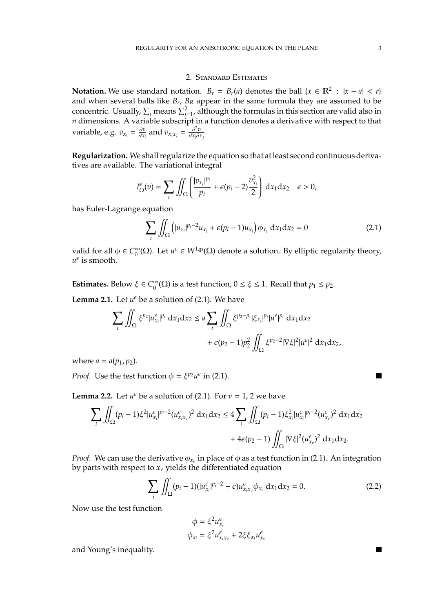## 2. Standard Estimates

**Notation.** We use standard notation.  $B_r = B_r(a)$  denotes the ball  $\{x \in \mathbb{R}^2 : |x - a| < r\}$ and when several balls like *B<sup>r</sup>* , *B<sup>R</sup>* appear in the same formula they are assumed to be concentric. Usually,  $\sum_i$  means  $\sum_{i=1}^2$ , although the formulas in this section are valid also in *n* dimensions. A variable subscript in a function denotes a derivative with respect to that variable, e.g.  $v_{x_i} = \frac{\partial v}{\partial x_i}$  $\frac{\partial v}{\partial x_i}$  and  $v_{x_ix_j} = \frac{\partial^2 v}{\partial x_i \partial y}$  $\frac{\partial^2 v}{\partial x_i \partial x_j}$ .

**Regularization.** We shall regularize the equation so that at least second continuous derivatives are available. The variational integral

$$
I_{\Omega}^{\epsilon}(v) = \sum_{i} \iint_{\Omega} \left( \frac{|v_{x_i}|^{p_i}}{p_i} + \epsilon (p_i - 2) \frac{v_{x_i}^2}{2} \right) dx_1 dx_2 \quad \epsilon > 0,
$$

has Euler-Lagrange equation

$$
\sum_{i} \iint_{\Omega} \left( |u_{x_i}|^{p_i - 2} u_{x_i} + \epsilon (p_i - 1) u_{x_i} \right) \phi_{x_i} dx_1 dx_2 = 0 \tag{2.1}
$$

valid for all  $\phi \in C_0^{\infty}$  $_0^{\infty}(\Omega)$ . Let  $u^{\epsilon} \in W^{1,p}(\Omega)$  denote a solution. By elliptic regularity theory,  $u^{\epsilon}$  is smooth.

**Estimates.** Below  $\xi \in C_0^{\infty}$  $0<sup>0</sup>(\Omega)$  is a test function,  $0 \le \xi \le 1$ . Recall that  $p_1 \le p_2$ .

**Lemma 2.1.** Let  $u^{\epsilon}$  be a solution of (2.1). We have

$$
\sum_{i} \iint_{\Omega} \xi^{p_2} |u_{x_i}^{\epsilon}|^{p_i} dx_1 dx_2 \le a \sum_{i} \iint_{\Omega} \xi^{p_2 - p_i} |\xi_{x_i}|^{p_i} |u^{\epsilon}|^{p_i} dx_1 dx_2
$$

$$
+ \epsilon(p_2 - 1)p_2^2 \iint_{\Omega} \xi^{p_2 - 2} |\nabla \xi|^2 |u^{\epsilon}|^2 dx_1 dx_2,
$$

where  $a = a(p_1, p_2)$ .

*Proof.* Use the test function  $\phi = \xi^{p_2} u^{\epsilon}$  in (2.1).

**Lemma 2.2.** Let  $u^{\epsilon}$  be a solution of (2.1). For  $v = 1$ , 2 we have

$$
\sum_{i} \iint_{\Omega} (p_i - 1) \xi^2 |u_{x_i}^{\epsilon}|^{p_i - 2} (u_{x_i x_v}^{\epsilon})^2 dx_1 dx_2 \le 4 \sum_{i} \iint_{\Omega} (p_i - 1) \xi_{x_i}^2 |u_{x_i}^{\epsilon}|^{p_i - 2} (u_{x_v}^{\epsilon})^2 dx_1 dx_2
$$

$$
+ 4\epsilon (p_2 - 1) \iint_{\Omega} |\nabla \xi|^2 (u_{x_v}^{\epsilon})^2 dx_1 dx_2.
$$

*Proof.* We can use the derivative  $\phi_{x_v}$  in place of  $\phi$  as a test function in (2.1). An integration by parts with respect to  $x_v$  yields the differentiated equation

$$
\sum_{i} \iint_{\Omega} (p_i - 1) (|u_{x_i}^{\epsilon}|^{p_i - 2} + \epsilon) u_{x_i x_v}^{\epsilon} \phi_{x_i} dx_1 dx_2 = 0.
$$
 (2.2)

Now use the test function

$$
\phi = \xi^2 u_{x_v}^{\epsilon}
$$
  

$$
\phi_{x_i} = \xi^2 u_{x_i x_v}^{\epsilon} + 2\xi \xi_{x_i} u_{x_v}^{\epsilon}
$$

and Young's inequality.

П

M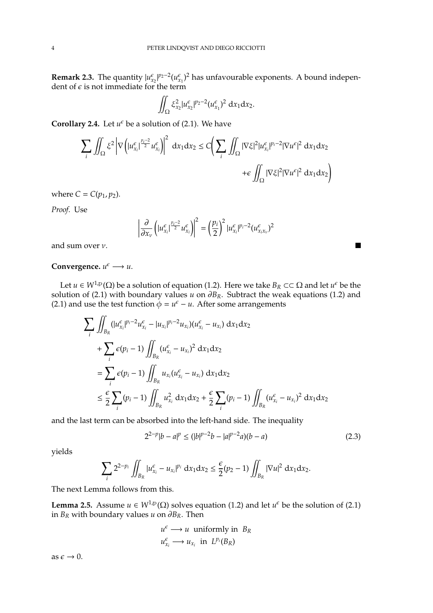**Remark 2.3.** The quantity  $|u_{x_2}^{\epsilon}|^{p_2-2}(u_{x_1}^{\epsilon})^2$  has unfavourable exponents. A bound independent of  $\epsilon$  is not immediate for the term

$$
\iint_{\Omega} \xi_{x_2}^2 |u_{x_2}^{\epsilon}|^{p_2-2} (u_{x_1}^{\epsilon})^2 dx_1 dx_2.
$$

**Corollary 2.4.** Let  $u^{\epsilon}$  be a solution of (2.1). We have

$$
\sum_{i} \iint_{\Omega} \xi^{2} \left| \nabla \left( |u_{x_{i}}^{\epsilon}|^{\frac{p_{i}-2}{2}} u_{x_{i}}^{\epsilon} \right) \right|^{2} dx_{1} dx_{2} \leq C \left( \sum_{i} \iint_{\Omega} |\nabla \xi|^{2} |u_{x_{i}}^{\epsilon}|^{p_{i}-2} |\nabla u^{\epsilon}|^{2} dx_{1} dx_{2} \right) + \epsilon \iint_{\Omega} |\nabla \xi|^{2} |\nabla u^{\epsilon}|^{2} dx_{1} dx_{2} \right)
$$

where  $C = C(p_1, p_2)$ .

*Proof.* Use

$$
\left|\frac{\partial}{\partial x_{\nu}}\left(|u_{x_i}^{\epsilon}|^{\frac{p_i-2}{2}}u_{x_i}^{\epsilon}\right)\right|^2=\left(\frac{p_i}{2}\right)^2|u_{x_i}^{\epsilon}|^{p_i-2}(u_{x_ix_{\nu}}^{\epsilon})^2
$$

and sum over ν.

**Convergence.**  $u^{\epsilon} \longrightarrow u$ .

Let  $u \in W^{1,p}(\Omega)$  be a solution of equation (1.2). Here we take  $B_R \subset\subset \Omega$  and let  $u^{\epsilon}$  be the solution of (2.1) with boundary values *u* on  $\partial B_R$ . Subtract the weak equations (1.2) and (2.1) and use the test function  $\phi = u^{\epsilon} - u$ . After some arrangements

$$
\sum_{i} \iint_{B_R} (|u_{x_i}^{\epsilon}|^{p_i-2} u_{x_i}^{\epsilon} - |u_{x_i}|^{p_i-2} u_{x_i}) (u_{x_i}^{\epsilon} - u_{x_i}) dx_1 dx_2 \n+ \sum_{i} \epsilon(p_i - 1) \iint_{B_R} (u_{x_i}^{\epsilon} - u_{x_i})^2 dx_1 dx_2 \n= \sum_{i} \epsilon(p_i - 1) \iint_{B_R} u_{x_i} (u_{x_i}^{\epsilon} - u_{x_i}) dx_1 dx_2 \n\leq \frac{\epsilon}{2} \sum_{i} (p_i - 1) \iint_{B_R} u_{x_i}^2 dx_1 dx_2 + \frac{\epsilon}{2} \sum_{i} (p_i - 1) \iint_{B_R} (u_{x_i}^{\epsilon} - u_{x_i})^2 dx_1 dx_2
$$

and the last term can be absorbed into the left-hand side. The inequality

$$
2^{2-p}|b-a|^p \le (|b|^{p-2}b - |a|^{p-2}a)(b-a)
$$
\n(2.3)

 $\blacksquare$ 

yields

$$
\sum_{i} 2^{2-p_i} \iint_{B_R} |u_{x_i}^{\epsilon} - u_{x_i}|^{p_i} dx_1 dx_2 \leq \frac{\epsilon}{2}(p_2 - 1) \iint_{B_R} |\nabla u|^2 dx_1 dx_2.
$$

The next Lemma follows from this.

**Lemma 2.5.** Assume  $u \in W^{1,p}(\Omega)$  solves equation (1.2) and let  $u^{\epsilon}$  be the solution of (2.1) in  $B_R$  with boundary values *u* on ∂ $B_R$ . Then

$$
u^{\epsilon} \longrightarrow u
$$
 uniformly in  $B_R$   
 $u^{\epsilon}_{x_i} \longrightarrow u_{x_i}$  in  $L^{p_i}(B_R)$ 

as  $\epsilon \to 0$ .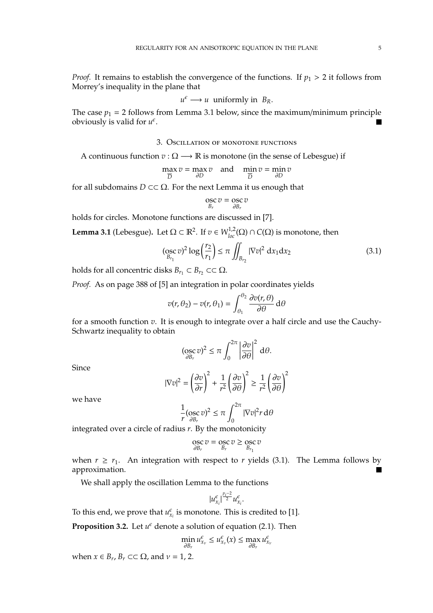*Proof.* It remains to establish the convergence of the functions. If  $p_1 > 2$  it follows from Morrey's inequality in the plane that

$$
u^{\epsilon} \longrightarrow u
$$
 uniformly in  $B_R$ .

The case  $p_1 = 2$  follows from Lemma 3.1 below, since the maximum/minimum principle obviously is valid for  $u^{\epsilon}$ .

## 3. Oscillation of monotone functions

A continuous function  $v : \Omega \longrightarrow \mathbb{R}$  is monotone (in the sense of Lebesgue) if

$$
\max_{\overline{D}} v = \max_{\partial D} v \quad \text{and} \quad \min_{\overline{D}} v = \min_{\partial D} v
$$

for all subdomains  $D \subset\subset \Omega$ . For the next Lemma it us enough that

$$
\operatorname*{osc}_{B_r} v = \operatorname*{osc}_{\partial B_r} v
$$

holds for circles. Monotone functions are discussed in [7].

**Lemma 3.1** (Lebesgue). Let  $\Omega \subset \mathbb{R}^2$ . If  $v \in W_{loc}^{1,2}(\Omega) \cap C(\Omega)$  is monotone, then

$$
(\underset{B_{r_1}}{\mathrm{osc}}\,v)^2 \log\left(\frac{r_2}{r_1}\right) \le \pi \iint_{B_{r_2}} |\nabla v|^2 \, \mathrm{d}x_1 \mathrm{d}x_2 \tag{3.1}
$$

holds for all concentric disks  $B_{r_1} \subset B_{r_2} \subset \Omega$ .

*Proof.* As on page 388 of [5] an integration in polar coordinates yields

$$
v(r, \theta_2) - v(r, \theta_1) = \int_{\theta_1}^{\theta_2} \frac{\partial v(r, \theta)}{\partial \theta} d\theta
$$

for a smooth function *v*. It is enough to integrate over a half circle and use the Cauchy-Schwartz inequality to obtain

$$
(\operatorname*{osc}_{\partial B_r} v)^2 \leq \pi \int_0^{2\pi} \left| \frac{\partial v}{\partial \theta} \right|^2 d\theta.
$$

Since

$$
|\nabla v|^2 = \left(\frac{\partial v}{\partial r}\right)^2 + \frac{1}{r^2} \left(\frac{\partial v}{\partial \theta}\right)^2 \ge \frac{1}{r^2} \left(\frac{\partial v}{\partial \theta}\right)^2
$$

we have

$$
\frac{1}{r}(\operatorname*{osc}_{\partial B_r}v)^2\leq \pi\int_0^{2\pi}|\nabla v|^2r\,\mathrm{d}\theta
$$

integrated over a circle of radius *r*. By the monotonicity

$$
\operatorname*{osc}_{\partial B_r} v = \operatorname*{osc}_{B_r} v \ge \operatorname*{osc}_{B_{r_1}} v
$$

when  $r \ge r_1$ . An integration with respect to *r* yields (3.1). The Lemma follows by approximation.

We shall apply the oscillation Lemma to the functions

$$
|u_{x_i}^{\epsilon}|^{\frac{p_i-2}{2}}u_{x_i}^{\epsilon}
$$

.

To this end, we prove that  $u_{x_i}^{\epsilon}$  is monotone. This is credited to [1].

**Proposition 3.2.** Let  $u^{\epsilon}$  denote a solution of equation (2.1). Then

$$
\min_{\partial B_r} u_{x_\nu}^\epsilon \leq u_{x_\nu}^\epsilon(x) \leq \max_{\partial B_r} u_{x_\nu}^\epsilon
$$

when  $x \in B_r$ ,  $B_r \subset\subset \Omega$ , and  $v = 1$ , 2.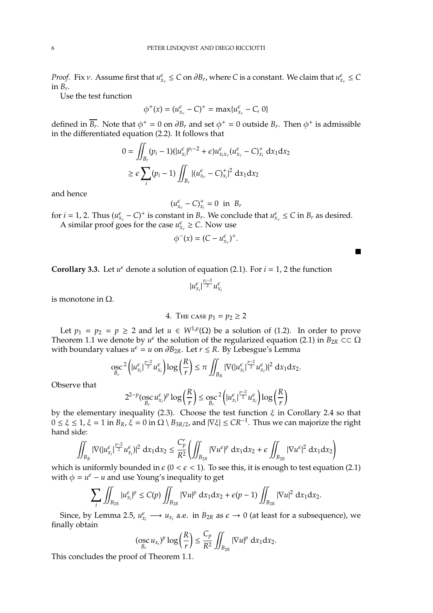*Proof.* Fix *v*. Assume first that  $u_{x_v}^{\epsilon} \le C$  on  $\partial B_r$ , where *C* is a constant. We claim that  $u_{x_v}^{\epsilon} \le C$ in *B<sup>r</sup>* .

Use the test function

$$
\phi^+(x) = (u_{x_v}^{\epsilon} - C)^+ = \max\{u_{x_v}^{\epsilon} - C, 0\}
$$

defined in  $\overline{B_r}$ . Note that  $\phi^+ = 0$  on  $\partial B_r$  and set  $\phi^+ = 0$  outside  $B_r$ . Then  $\phi^+$  is admissible in the differentiated equation (2.2). It follows that

$$
0 = \iint_{B_r} (p_i - 1)(|u_{x_i}^{\epsilon}|^{p_i - 2} + \epsilon) u_{x_i x_v}^{\epsilon} (u_{x_v}^{\epsilon} - C)_{x_i}^+ dx_1 dx_2
$$
  
\n
$$
\geq \epsilon \sum_i (p_i - 1) \iint_{B_r} |(u_{x_v}^{\epsilon} - C)_{x_i}^+|^2 dx_1 dx_2
$$

and hence

$$
(u^{\epsilon}_{x_{\nu}}-C)^{+}_{x_{i}}=0\text{ in }B_{r}
$$

for  $i = 1, 2$ . Thus  $(u_{x_v}^{\epsilon} - C)^+$  is constant in  $B_r$ . We conclude that  $u_{x_v}^{\epsilon} \le C$  in  $B_r$  as desired. A similar proof goes for the case  $u_{x_v}^{\epsilon} \ge C$ . Now use

$$
\phi^-(x)=(C-u_{x_v}^\epsilon)^+.
$$

**Corollary 3.3.** Let  $u^{\epsilon}$  denote a solution of equation (2.1). For  $i = 1, 2$  the function

$$
|u_{x_i}^{\epsilon}|^{\frac{p_i-2}{2}}u_{x_i}^{\epsilon}
$$

is monotone in Ω.

4. THE CASE 
$$
p_1 = p_2 \ge 2
$$

Let  $p_1 = p_2 = p \ge 2$  and let  $u \in W^{1,p}(\Omega)$  be a solution of (1.2). In order to prove Theorem 1.1 we denote by  $u^{\epsilon}$  the solution of the regularized equation (2.1) in  $B_{2R}$  ⊂  $\subset$   $\Omega$ with boundary values  $u^{\epsilon} = u$  on  $\partial B_{2R}$ . Let  $r \leq R$ . By Lebesgue's Lemma

$$
\underset{B_r}{\operatorname{osc}}^2 \left( |u_{x_i}^{\varepsilon}|^{\frac{p-2}{2}} u_{x_i}^{\varepsilon} \right) \log \left( \frac{R}{r} \right) \leq \pi \iint_{B_R} |\nabla (|u_{x_i}^{\varepsilon}|^{\frac{p-2}{2}} u_{x_i}^{\varepsilon})|^2 dx_1 dx_2.
$$

Observe that

$$
2^{2-p}(\operatorname*{osc}_{B_r} u^{\epsilon}_{x_i})^p \log\left(\frac{R}{r}\right) \le \operatorname*{osc}_{B_r}^2\left(|u^{\epsilon}_{x_i}|^{\frac{p-2}{2}} u^{\epsilon}_{x_i}\right) \log\left(\frac{R}{r}\right)
$$

by the elementary inequality (2.3). Choose the test function  $\xi$  in Corollary 2.4 so that  $0 \le \xi \le 1$ ,  $\xi = 1$  in  $B_R$ ,  $\xi = 0$  in  $\Omega \setminus B_{3R/2}$ , and  $|\nabla \xi| \le CR^{-1}$ . Thus we can majorize the right hand side:

$$
\iint_{B_R} |\nabla (|u_{x_i}^{\varepsilon}|^{\frac{p-2}{2}} u_{x_i}^{\varepsilon})|^2 dx_1 dx_2 \leq \frac{C_p'}{R^2} \left( \iint_{B_{2R}} |\nabla u^{\varepsilon}|^p dx_1 dx_2 + \varepsilon \iint_{B_{2R}} |\nabla u^{\varepsilon}|^2 dx_1 dx_2 \right)
$$

which is uniformly bounded in  $\epsilon$  (0 <  $\epsilon$  < 1). To see this, it is enough to test equation (2.1) with  $\phi = u^{\epsilon} - u$  and use Young's inequality to get

$$
\sum_i \iint_{B_{2R}} |u_{x_i}^{\epsilon}|^p \le C(p) \iint_{B_{2R}} |\nabla u|^p dx_1 dx_2 + \epsilon(p-1) \iint_{B_{2R}} |\nabla u|^2 dx_1 dx_2.
$$

Since, by Lemma 2.5,  $u_{x_i}^{\epsilon} \longrightarrow u_{x_i}$  a.e. in  $B_{2R}$  as  $\epsilon \rightarrow 0$  (at least for a subsequence), we finally obtain

$$
(\operatorname*{osc}_{B_r} u_{x_i})^p \log \left(\frac{R}{r}\right) \leq \frac{C_p}{R^2} \iint_{B_{2R}} |\nabla u|^p \, dx_1 dx_2.
$$

This concludes the proof of Theorem 1.1.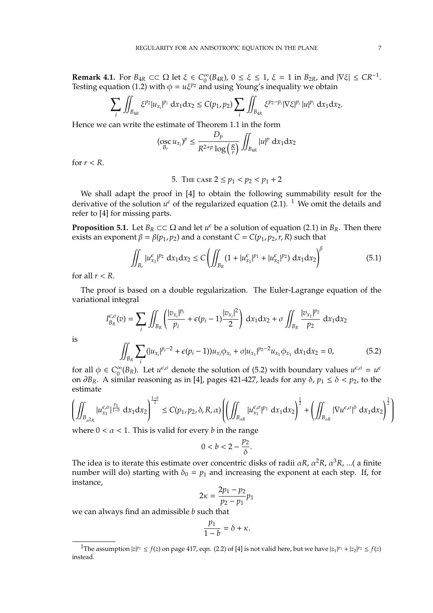**Remark 4.1.** For  $B_{4R} \subset\subset \Omega$  let  $\xi \in C_0^{\infty}$  $\int_0^\infty (B_{4R})$ ,  $0 \le \xi \le 1$ ,  $\xi = 1$  in  $B_{2R}$ , and  $|\nabla \xi| \le CR^{-1}$ . Testing equation (1.2) with  $\phi = u\xi^{p_2}$  and using Young's inequality we obtain

$$
\sum_{i} \iint_{B_{4R}} \xi^{p_2} |u_{x_i}|^{p_i} dx_1 dx_2 \leq C(p_1, p_2) \sum_{i} \iint_{B_{4R}} \xi^{p_2-p_i} |\nabla \xi|^{p_i} |u|^{p_i} dx_1 dx_2.
$$

Hence we can write the estimate of Theorem 1.1 in the form

$$
(\underset{B_r}{\operatorname{osc}} u_{x_i})^p \leq \frac{D_p}{R^{2+p} \log\left(\frac{R}{r}\right)} \iint_{B_{4R}} |u|^p \, \mathrm{d}x_1 \mathrm{d}x_2
$$

for  $r < R$ .

5. THE CASE 
$$
2 \leq p_1 < p_2 < p_1 + 2
$$

We shall adapt the proof in [4] to obtain the following summability result for the derivative of the solution  $u^{\epsilon}$  of the regularized equation (2.1). <sup>1</sup> We omit the details and refer to [4] for missing parts.

**Proposition 5.1.** Let  $B_R \subset\subset \Omega$  and let  $u^{\epsilon}$  be a solution of equation (2.1) in  $B_R$ . Then there exists an exponent  $\beta = \beta(p_1, p_2)$  and a constant  $C = C(p_1, p_2, r, R)$  such that

$$
\iint_{B_r} |u_{x_1}^{\epsilon}|^{p_2} dx_1 dx_2 \le C \left( \iint_{B_R} (1 + |u_{x_1}^{\epsilon}|^{p_1} + |u_{x_2}^{\epsilon}|^{p_2}) dx_1 dx_2 \right)^{\beta} \tag{5.1}
$$

for all  $r < R$ .

The proof is based on a double regularization. The Euler-Lagrange equation of the variational integral

$$
I_{B_R}^{\epsilon,\sigma}(v) = \sum_{i} \iint_{B_R} \left( \frac{|v_{x_i}|^{p_i}}{p_i} + \epsilon (p_i - 1) \frac{|v_{x_i}|^2}{2} \right) dx_1 dx_2 + \sigma \iint_{B_R} \frac{|v_{x_1}|^{p_2}}{p_2} dx_1 dx_2
$$

$$
\iint_{B_R} \sum_{i} (|u_{x_i}|^{p_i - 2} + \epsilon (p_i - 1)) u_{x_i} \phi_{x_i} + \sigma |u_{x_1}|^{p_2 - 2} u_{x_1} \phi_{x_1} dx_1 dx_2 = 0,
$$
(5.2)

is

for all 
$$
\phi \in C_0^{\infty}(B_R)
$$
. Let  $u^{\epsilon,\sigma}$  denote the solution of (5.2) with boundary values  $u^{\epsilon,\sigma} = u^{\epsilon}$  on  $\partial B_R$ . A similar reasoning as in [4], pages 421-427, leads for any  $\delta$ ,  $p_1 \le \delta < p_2$ , to the estimate

$$
\left(\iint_{B_{\alpha^2 R}} |u^{\epsilon,\sigma}_{x_1}|^{\frac{p_1}{1-b}} \,\mathrm{d}x_1\mathrm{d}x_2\right)^{\frac{1-b}{2}} \leq C(p_1,p_2,\delta,R,\alpha)\left(\left(\iint_{B_{\alpha R}} |u^{\epsilon,\sigma}_{x_1}|^{p_1} \,\mathrm{d}x_1\mathrm{d}x_2\right)^{\frac{1}{2}} + \left(\iint_{B_{\alpha R}} |\nabla u^{\epsilon,\sigma}|^{\delta} \,\mathrm{d}x_1\mathrm{d}x_2\right)^{\frac{1}{2}}\right)
$$

where  $0 < \alpha < 1$ . This is valid for every *b* in the range

$$
0 < b < 2 - \frac{p_2}{\delta}.
$$

The idea is to iterate this estimate over concentric disks of radii  $\alpha R$ ,  $\alpha^2 R$ ,  $\alpha^3 R$ , ...( a finite number will do) starting with  $\delta_0 = p_1$  and increasing the exponent at each step. If, for instance,

$$
2\kappa = \frac{2p_1 - p_2}{p_2 - p_1}p_1
$$

we can always find an admissible *b* such that

$$
\frac{p_1}{1-b} = \delta + \kappa.
$$

<sup>&</sup>lt;sup>1</sup>The assumption  $|z|^{p_1} \le f(z)$  on page 417, eqn. (2.2) of [4] is not valid here, but we have  $|z_1|^{p_1} + |z_2|^{p_2} \le f(z)$ instead.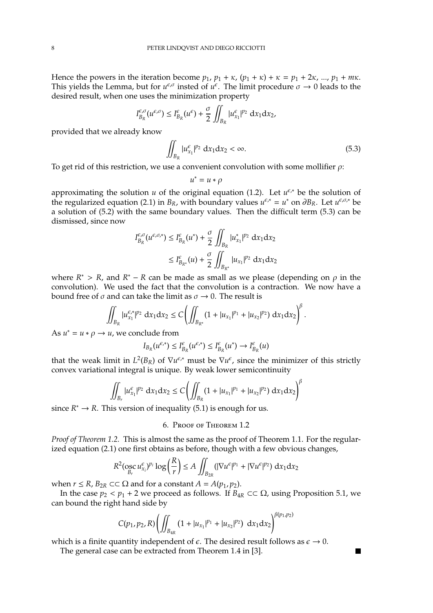Hence the powers in the iteration become  $p_1$ ,  $p_1 + \kappa$ ,  $(p_1 + \kappa) + \kappa = p_1 + 2\kappa$ , ...,  $p_1 + m\kappa$ . This yields the Lemma, but for  $u^{\epsilon,\sigma}$  insted of  $u^{\epsilon}$ . The limit procedure  $\sigma \to 0$  leads to the desired result, when one uses the minimization property

$$
I_{B_R}^{\epsilon,\sigma}(u^{\epsilon,\sigma}) \leq I_{B_R}^{\epsilon}(u^{\epsilon}) + \frac{\sigma}{2} \iint_{B_R} |u_{x_1}^{\epsilon}|^{p_2} dx_1 dx_2,
$$

provided that we already know

$$
\iint_{B_R} |u_{x_1}^{\epsilon}|^{p_2} dx_1 dx_2 < \infty. \tag{5.3}
$$

To get rid of this restriction, we use a convenient convolution with some mollifier  $\rho$ :

$$
u^* = u * \rho
$$

approximating the solution *u* of the original equation (1.2). Let  $u^{\epsilon,*}$  be the solution of the regularized equation (2.1) in  $B_R$ , with boundary values  $u^{\epsilon,*} = u^*$  on  $\partial B_R$ . Let  $u^{\epsilon,\sigma,*}$  be a solution of (5.2) with the same boundary values. Then the difficult term (5.3) can be dismissed, since now

$$
I_{B_R}^{\epsilon, \sigma}(u^{\epsilon, \sigma, *}) \leq I_{B_R}^{\epsilon}(u^*) + \frac{\sigma}{2} \iint_{B_R} |u_{x_1}^*|^{p_2} dx_1 dx_2
$$
  

$$
\leq I_{B_{R^*}}^{\epsilon}(u) + \frac{\sigma}{2} \iint_{B_{R^*}} |u_{x_1}|^{p_2} dx_1 dx_2
$$

where  $R^* > R$ , and  $R^* - R$  can be made as small as we please (depending on  $\rho$  in the convolution). We used the fact that the convolution is a contraction. We now have a bound free of  $\sigma$  and can take the limit as  $\sigma \rightarrow 0$ . The result is

$$
\iint_{B_R} |u_{x_1}^{\epsilon,*}|^{p_2} dx_1 dx_2 \leq C \left( \iint_{B_{R^*}} (1+|u_{x_1}|^{p_1}+|u_{x_2}|^{p_2}) dx_1 dx_2 \right)^{\beta}.
$$

As  $u^* = u * \rho \to u$ , we conclude from

$$
I_{B_R}(u^{\varepsilon,*}) \leq I_{B_R}^{\varepsilon}(u^{\varepsilon,*}) \leq I_{B_R}^{\varepsilon}(u^*) \to I_{B_R}^{\varepsilon}(u)
$$

that the weak limit in  $L^2(B_R)$  of  $\nabla u^{\epsilon,*}$  must be  $\nabla u^{\epsilon}$ , since the minimizer of this strictly convex variational integral is unique. By weak lower semicontinuity

$$
\iint_{B_r} |u_{x_1}^{\epsilon}|^{p_2} dx_1 dx_2 \leq C \bigg( \iint_{B_R} (1 + |u_{x_1}|^{p_1} + |u_{x_2}|^{p_2}) dx_1 dx_2 \bigg)^{\beta}
$$

since  $R^* \to R$ . This version of inequality (5.1) is enough for us.

6. Proof of Theorem 1.2

*Proof of Theorem 1.2.* This is almost the same as the proof of Theorem 1.1. For the regularized equation (2.1) one first obtains as before, though with a few obvious changes,

$$
R^2(\underset{B_r}{\mathrm{osc}} u_{x_i}^{\varepsilon})^{p_i} \log \left(\frac{R}{r}\right) \le A \iint_{B_{2R}} (|\nabla u^{\varepsilon}|^{p_1} + |\nabla u^{\varepsilon}|^{p_2}) \, \mathrm{d}x_1 \mathrm{d}x_2
$$

when  $r \leq R$ ,  $B_{2R} \subset\subset \Omega$  and for a constant  $A = A(p_1, p_2)$ .

In the case  $p_2 < p_1 + 2$  we proceed as follows. If  $B_{4R} \subset\subset \Omega$ , using Proposition 5.1, we can bound the right hand side by

$$
C(p_1,p_2,R)\left(\iint_{B_{4R}} \left(1+|u_{x_1}|^{p_1}+|u_{x_2}|^{p_2}\right) \, \mathrm{d}x_1 \mathrm{d}x_2\right)^{\beta(p_1,p_2)}
$$

 $\blacksquare$ 

which is a finite quantity independent of  $\epsilon$ . The desired result follows as  $\epsilon \to 0$ .

The general case can be extracted from Theorem 1.4 in [3].